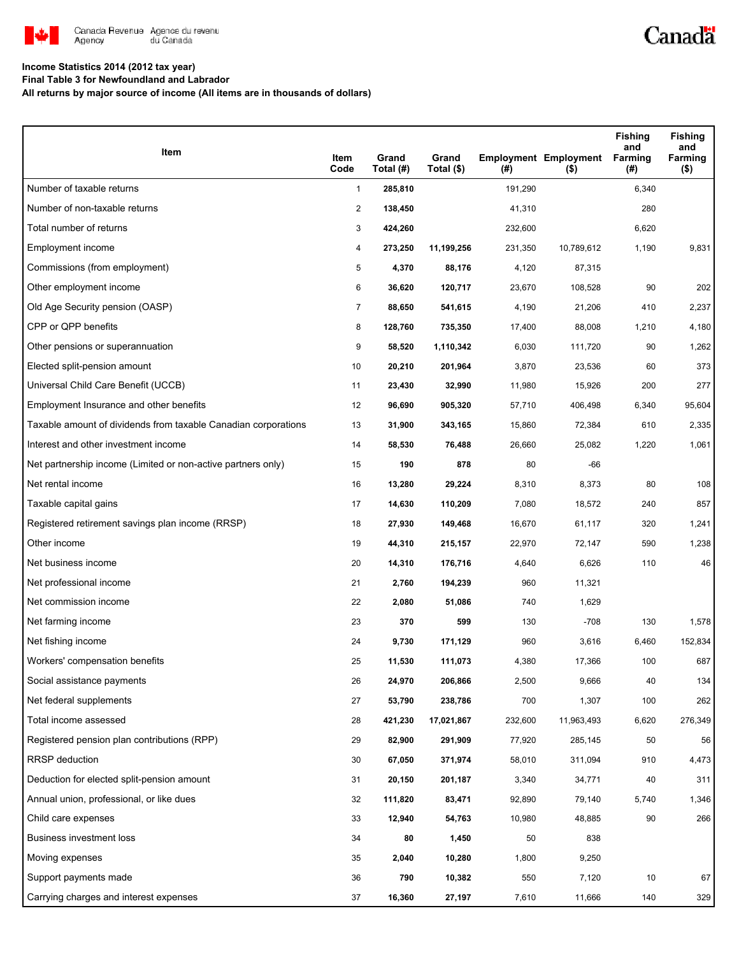

# Canadä

### **Income Statistics 2014 (2012 tax year)**

**Final Table 3 for Newfoundland and Labrador**

**All returns by major source of income (All items are in thousands of dollars)**

| Item                                                           | Item<br>Code   | Grand<br>Total (#) | Grand<br>Total (\$) | (#)     | <b>Employment Employment</b><br>$($ \$) | <b>Fishing</b><br>and<br><b>Farming</b><br>(#) | <b>Fishing</b><br>and<br>Farming<br>$($ \$) |
|----------------------------------------------------------------|----------------|--------------------|---------------------|---------|-----------------------------------------|------------------------------------------------|---------------------------------------------|
| Number of taxable returns                                      | $\mathbf{1}$   | 285,810            |                     | 191,290 |                                         | 6,340                                          |                                             |
| Number of non-taxable returns                                  | $\overline{2}$ | 138,450            |                     | 41,310  |                                         | 280                                            |                                             |
| Total number of returns                                        | 3              | 424,260            |                     | 232,600 |                                         | 6,620                                          |                                             |
| Employment income                                              | 4              | 273,250            | 11,199,256          | 231,350 | 10,789,612                              | 1,190                                          | 9,831                                       |
| Commissions (from employment)                                  | 5              | 4,370              | 88,176              | 4,120   | 87,315                                  |                                                |                                             |
| Other employment income                                        | 6              | 36,620             | 120,717             | 23,670  | 108,528                                 | 90                                             | 202                                         |
| Old Age Security pension (OASP)                                | $\overline{7}$ | 88,650             | 541,615             | 4,190   | 21,206                                  | 410                                            | 2,237                                       |
| CPP or QPP benefits                                            | 8              | 128,760            | 735,350             | 17,400  | 88,008                                  | 1,210                                          | 4,180                                       |
| Other pensions or superannuation                               | 9              | 58,520             | 1,110,342           | 6,030   | 111,720                                 | 90                                             | 1,262                                       |
| Elected split-pension amount                                   | 10             | 20,210             | 201,964             | 3,870   | 23,536                                  | 60                                             | 373                                         |
| Universal Child Care Benefit (UCCB)                            | 11             | 23,430             | 32,990              | 11,980  | 15,926                                  | 200                                            | 277                                         |
| Employment Insurance and other benefits                        | 12             | 96,690             | 905,320             | 57,710  | 406,498                                 | 6,340                                          | 95,604                                      |
| Taxable amount of dividends from taxable Canadian corporations | 13             | 31,900             | 343,165             | 15,860  | 72,384                                  | 610                                            | 2,335                                       |
| Interest and other investment income                           | 14             | 58,530             | 76,488              | 26,660  | 25,082                                  | 1,220                                          | 1,061                                       |
| Net partnership income (Limited or non-active partners only)   | 15             | 190                | 878                 | 80      | -66                                     |                                                |                                             |
| Net rental income                                              | 16             | 13,280             | 29,224              | 8,310   | 8,373                                   | 80                                             | 108                                         |
| Taxable capital gains                                          | 17             | 14,630             | 110,209             | 7,080   | 18,572                                  | 240                                            | 857                                         |
| Registered retirement savings plan income (RRSP)               | 18             | 27,930             | 149,468             | 16,670  | 61,117                                  | 320                                            | 1,241                                       |
| Other income                                                   | 19             | 44,310             | 215,157             | 22,970  | 72,147                                  | 590                                            | 1,238                                       |
| Net business income                                            | 20             | 14,310             | 176,716             | 4,640   | 6,626                                   | 110                                            | 46                                          |
| Net professional income                                        | 21             | 2,760              | 194,239             | 960     | 11,321                                  |                                                |                                             |
| Net commission income                                          | 22             | 2,080              | 51,086              | 740     | 1,629                                   |                                                |                                             |
| Net farming income                                             | 23             | 370                | 599                 | 130     | $-708$                                  | 130                                            | 1,578                                       |
| Net fishing income                                             | 24             | 9,730              | 171,129             | 960     | 3,616                                   | 6,460                                          | 152,834                                     |
| Workers' compensation benefits                                 | 25             | 11,530             | 111,073             | 4,380   | 17,366                                  | 100                                            | 687                                         |
| Social assistance payments                                     | 26             | 24,970             | 206,866             | 2,500   | 9,666                                   | 40                                             | 134                                         |
| Net federal supplements                                        | 27             | 53,790             | 238,786             | 700     | 1,307                                   | 100                                            | 262                                         |
| Total income assessed                                          | 28             | 421,230            | 17,021,867          | 232,600 | 11,963,493                              | 6,620                                          | 276,349                                     |
| Registered pension plan contributions (RPP)                    | 29             | 82,900             | 291,909             | 77,920  | 285,145                                 | 50                                             | 56                                          |
| <b>RRSP</b> deduction                                          | 30             | 67,050             | 371,974             | 58,010  | 311,094                                 | 910                                            | 4,473                                       |
| Deduction for elected split-pension amount                     | 31             | 20,150             | 201,187             | 3,340   | 34,771                                  | 40                                             | 311                                         |
| Annual union, professional, or like dues                       | 32             | 111,820            | 83,471              | 92,890  | 79,140                                  | 5,740                                          | 1,346                                       |
| Child care expenses                                            | 33             | 12,940             | 54,763              | 10,980  | 48,885                                  | 90                                             | 266                                         |
| Business investment loss                                       | 34             | 80                 | 1,450               | 50      | 838                                     |                                                |                                             |
| Moving expenses                                                | 35             | 2,040              | 10,280              | 1,800   | 9,250                                   |                                                |                                             |
| Support payments made                                          | 36             | 790                | 10,382              | 550     | 7,120                                   | $10$                                           | 67                                          |
| Carrying charges and interest expenses                         | 37             | 16,360             | 27,197              | 7,610   | 11,666                                  | 140                                            | 329                                         |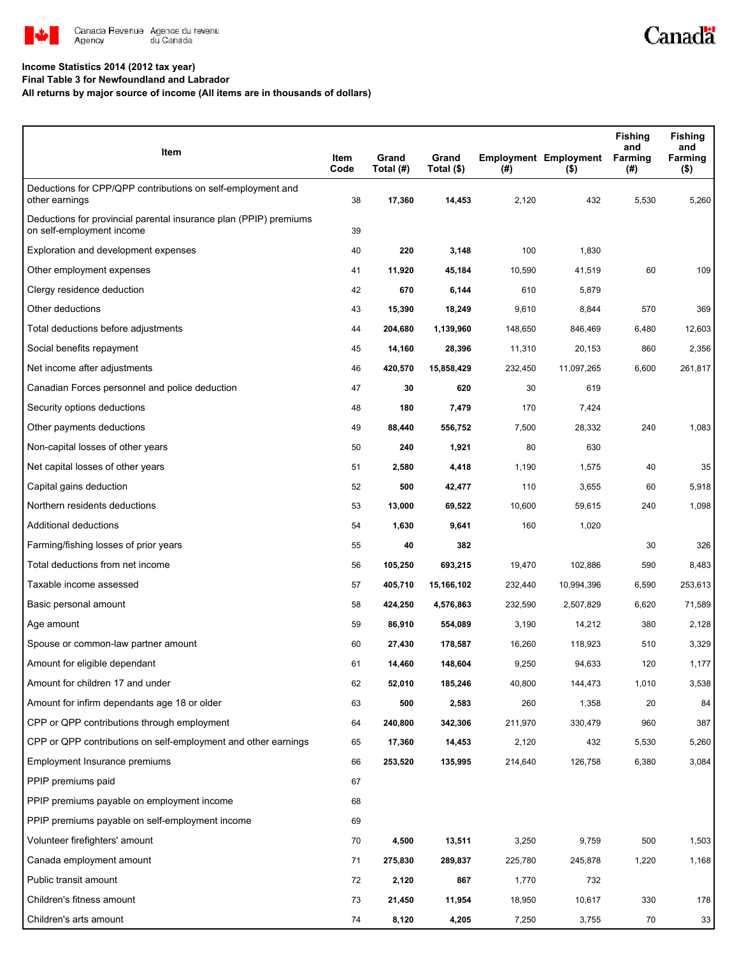

#### **Income Statistics 2014 (2012 tax year)**

**Final Table 3 for Newfoundland and Labrador**

**All returns by major source of income (All items are in thousands of dollars)**

| Item                                                                                           | Item<br>Code | Grand<br>Total (#) | Grand<br>Total (\$) | (#)     | <b>Employment Employment</b><br>$($ \$) | <b>Fishing</b><br>and<br><b>Farming</b><br>(#) | <b>Fishing</b><br>and<br>Farming<br>$($ \$) |
|------------------------------------------------------------------------------------------------|--------------|--------------------|---------------------|---------|-----------------------------------------|------------------------------------------------|---------------------------------------------|
| Deductions for CPP/QPP contributions on self-employment and                                    |              |                    |                     |         |                                         |                                                |                                             |
| other earnings                                                                                 | 38           | 17,360             | 14,453              | 2,120   | 432                                     | 5,530                                          | 5,260                                       |
| Deductions for provincial parental insurance plan (PPIP) premiums<br>on self-employment income | 39           |                    |                     |         |                                         |                                                |                                             |
| Exploration and development expenses                                                           | 40           | 220                | 3,148               | 100     | 1,830                                   |                                                |                                             |
| Other employment expenses                                                                      | 41           | 11,920             | 45,184              | 10,590  | 41,519                                  | 60                                             | 109                                         |
| Clergy residence deduction                                                                     | 42           | 670                | 6,144               | 610     | 5,879                                   |                                                |                                             |
| Other deductions                                                                               | 43           | 15,390             | 18,249              | 9,610   | 8,844                                   | 570                                            | 369                                         |
| Total deductions before adjustments                                                            | 44           | 204,680            | 1,139,960           | 148,650 | 846,469                                 | 6,480                                          | 12,603                                      |
| Social benefits repayment                                                                      | 45           | 14,160             | 28,396              | 11,310  | 20,153                                  | 860                                            | 2,356                                       |
| Net income after adjustments                                                                   | 46           | 420,570            | 15,858,429          | 232,450 | 11,097,265                              | 6,600                                          | 261,817                                     |
| Canadian Forces personnel and police deduction                                                 | 47           | 30                 | 620                 | 30      | 619                                     |                                                |                                             |
| Security options deductions                                                                    | 48           | 180                | 7,479               | 170     | 7,424                                   |                                                |                                             |
| Other payments deductions                                                                      | 49           | 88,440             | 556,752             | 7,500   | 28,332                                  | 240                                            | 1,083                                       |
| Non-capital losses of other years                                                              | 50           | 240                | 1,921               | 80      | 630                                     |                                                |                                             |
| Net capital losses of other years                                                              | 51           | 2,580              | 4,418               | 1,190   | 1,575                                   | 40                                             | 35                                          |
| Capital gains deduction                                                                        | 52           | 500                | 42,477              | 110     | 3,655                                   | 60                                             | 5,918                                       |
| Northern residents deductions                                                                  | 53           | 13,000             | 69,522              | 10,600  | 59,615                                  | 240                                            | 1,098                                       |
| Additional deductions                                                                          | 54           | 1,630              | 9,641               | 160     | 1,020                                   |                                                |                                             |
| Farming/fishing losses of prior years                                                          | 55           | 40                 | 382                 |         |                                         | 30                                             | 326                                         |
| Total deductions from net income                                                               | 56           | 105,250            | 693,215             | 19,470  | 102,886                                 | 590                                            | 8,483                                       |
| Taxable income assessed                                                                        | 57           | 405,710            | 15,166,102          | 232,440 | 10,994,396                              | 6,590                                          | 253,613                                     |
| Basic personal amount                                                                          | 58           | 424,250            | 4,576,863           | 232,590 | 2,507,829                               | 6,620                                          | 71,589                                      |
| Age amount                                                                                     | 59           | 86,910             | 554,089             | 3,190   | 14,212                                  | 380                                            | 2,128                                       |
| Spouse or common-law partner amount                                                            | 60           | 27,430             | 178,587             | 16,260  | 118,923                                 | 510                                            | 3,329                                       |
| Amount for eligible dependant                                                                  | 61           | 14,460             | 148,604             | 9,250   | 94,633                                  | 120                                            | 1,177                                       |
| Amount for children 17 and under                                                               | 62           | 52,010             | 185,246             | 40,800  | 144,473                                 | 1,010                                          | 3,538                                       |
| Amount for infirm dependants age 18 or older                                                   | 63           | 500                | 2,583               | 260     | 1,358                                   | 20                                             | 84                                          |
| CPP or QPP contributions through employment                                                    | 64           | 240,800            | 342,306             | 211,970 | 330,479                                 | 960                                            | 387                                         |
| CPP or QPP contributions on self-employment and other earnings                                 | 65           | 17,360             | 14,453              | 2,120   | 432                                     | 5,530                                          | 5,260                                       |
| Employment Insurance premiums                                                                  | 66           | 253,520            | 135,995             | 214,640 | 126,758                                 | 6,380                                          | 3,084                                       |
| PPIP premiums paid                                                                             | 67           |                    |                     |         |                                         |                                                |                                             |
| PPIP premiums payable on employment income                                                     | 68           |                    |                     |         |                                         |                                                |                                             |
| PPIP premiums payable on self-employment income                                                | 69           |                    |                     |         |                                         |                                                |                                             |
| Volunteer firefighters' amount                                                                 | 70           | 4,500              | 13,511              | 3,250   | 9,759                                   | 500                                            | 1,503                                       |
| Canada employment amount                                                                       | 71           | 275,830            | 289,837             | 225,780 | 245,878                                 | 1,220                                          | 1,168                                       |
| Public transit amount                                                                          | 72           | 2,120              | 867                 | 1,770   | 732                                     |                                                |                                             |
| Children's fitness amount                                                                      | 73           | 21,450             | 11,954              | 18,950  | 10,617                                  | 330                                            | 178                                         |
| Children's arts amount                                                                         | 74           | 8,120              | 4,205               | 7,250   | 3,755                                   | 70                                             | 33                                          |

Canadä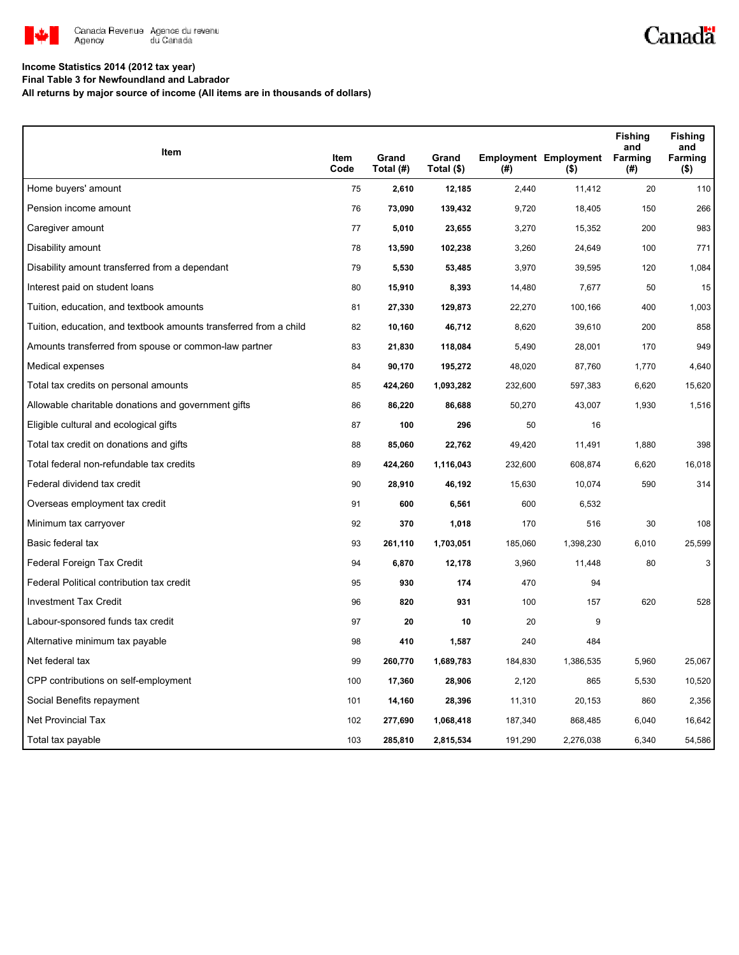

# Canadä

### **Income Statistics 2014 (2012 tax year)**

**Final Table 3 for Newfoundland and Labrador**

**All returns by major source of income (All items are in thousands of dollars)**

| Item                                                              | <b>Item</b> | Grand     | Grand      |         | <b>Employment Employment</b> | <b>Fishing</b><br>and<br>Farming | <b>Fishing</b><br>and<br>Farming |
|-------------------------------------------------------------------|-------------|-----------|------------|---------|------------------------------|----------------------------------|----------------------------------|
|                                                                   | Code        | Total (#) | Total (\$) | (#)     | $($ \$)                      | (#)                              | $($ \$)                          |
| Home buyers' amount                                               | 75          | 2,610     | 12,185     | 2,440   | 11,412                       | 20                               | 110                              |
| Pension income amount                                             | 76          | 73,090    | 139,432    | 9,720   | 18,405                       | 150                              | 266                              |
| Caregiver amount                                                  | 77          | 5,010     | 23,655     | 3,270   | 15,352                       | 200                              | 983                              |
| Disability amount                                                 | 78          | 13,590    | 102,238    | 3,260   | 24,649                       | 100                              | 771                              |
| Disability amount transferred from a dependant                    | 79          | 5,530     | 53,485     | 3,970   | 39,595                       | 120                              | 1,084                            |
| Interest paid on student loans                                    | 80          | 15,910    | 8,393      | 14,480  | 7,677                        | 50                               | 15                               |
| Tuition, education, and textbook amounts                          | 81          | 27,330    | 129,873    | 22,270  | 100,166                      | 400                              | 1,003                            |
| Tuition, education, and textbook amounts transferred from a child | 82          | 10,160    | 46,712     | 8,620   | 39,610                       | 200                              | 858                              |
| Amounts transferred from spouse or common-law partner             | 83          | 21,830    | 118,084    | 5,490   | 28,001                       | 170                              | 949                              |
| Medical expenses                                                  | 84          | 90,170    | 195,272    | 48,020  | 87,760                       | 1,770                            | 4,640                            |
| Total tax credits on personal amounts                             | 85          | 424,260   | 1,093,282  | 232,600 | 597,383                      | 6,620                            | 15,620                           |
| Allowable charitable donations and government gifts               | 86          | 86,220    | 86,688     | 50,270  | 43,007                       | 1,930                            | 1,516                            |
| Eligible cultural and ecological gifts                            | 87          | 100       | 296        | 50      | 16                           |                                  |                                  |
| Total tax credit on donations and gifts                           | 88          | 85,060    | 22,762     | 49,420  | 11,491                       | 1,880                            | 398                              |
| Total federal non-refundable tax credits                          | 89          | 424,260   | 1,116,043  | 232,600 | 608,874                      | 6,620                            | 16,018                           |
| Federal dividend tax credit                                       | 90          | 28,910    | 46,192     | 15,630  | 10,074                       | 590                              | 314                              |
| Overseas employment tax credit                                    | 91          | 600       | 6,561      | 600     | 6,532                        |                                  |                                  |
| Minimum tax carryover                                             | 92          | 370       | 1,018      | 170     | 516                          | 30                               | 108                              |
| Basic federal tax                                                 | 93          | 261,110   | 1,703,051  | 185,060 | 1,398,230                    | 6,010                            | 25,599                           |
| Federal Foreign Tax Credit                                        | 94          | 6,870     | 12,178     | 3,960   | 11,448                       | 80                               | 3                                |
| Federal Political contribution tax credit                         | 95          | 930       | 174        | 470     | 94                           |                                  |                                  |
| <b>Investment Tax Credit</b>                                      | 96          | 820       | 931        | 100     | 157                          | 620                              | 528                              |
| Labour-sponsored funds tax credit                                 | 97          | 20        | 10         | 20      | 9                            |                                  |                                  |
| Alternative minimum tax payable                                   | 98          | 410       | 1,587      | 240     | 484                          |                                  |                                  |
| Net federal tax                                                   | 99          | 260,770   | 1,689,783  | 184,830 | 1,386,535                    | 5,960                            | 25,067                           |
| CPP contributions on self-employment                              | 100         | 17,360    | 28,906     | 2,120   | 865                          | 5,530                            | 10,520                           |
| Social Benefits repayment                                         | 101         | 14,160    | 28,396     | 11,310  | 20,153                       | 860                              | 2,356                            |
| <b>Net Provincial Tax</b>                                         | 102         | 277,690   | 1,068,418  | 187,340 | 868,485                      | 6,040                            | 16,642                           |
| Total tax payable                                                 | 103         | 285,810   | 2,815,534  | 191,290 | 2,276,038                    | 6,340                            | 54,586                           |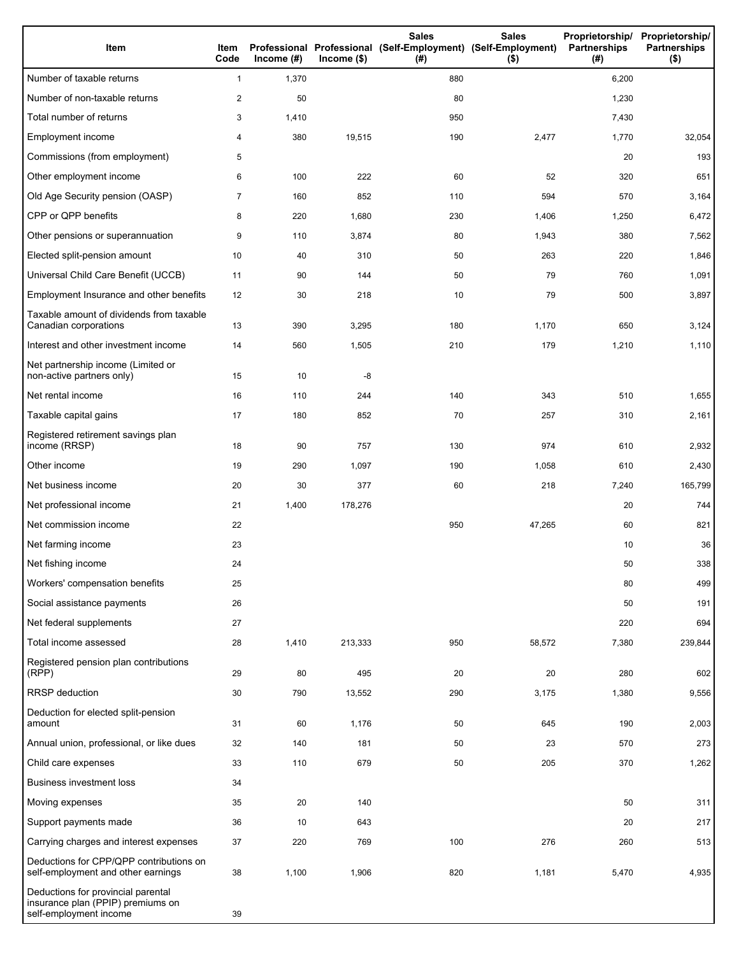| Item                                                                                              | Item<br>Code   | Income $(\#)$ | $Income$ (\$) | <b>Sales</b><br>Professional Professional (Self-Employment) (Self-Employment)<br>(#) | <b>Sales</b><br>(3) | Proprietorship/ Proprietorship/<br><b>Partnerships</b><br>(#) | <b>Partnerships</b><br>$($ \$) |
|---------------------------------------------------------------------------------------------------|----------------|---------------|---------------|--------------------------------------------------------------------------------------|---------------------|---------------------------------------------------------------|--------------------------------|
| Number of taxable returns                                                                         | 1              | 1,370         |               | 880                                                                                  |                     | 6,200                                                         |                                |
| Number of non-taxable returns                                                                     | $\overline{a}$ | 50            |               | 80                                                                                   |                     | 1,230                                                         |                                |
| Total number of returns                                                                           | 3              | 1,410         |               | 950                                                                                  |                     | 7,430                                                         |                                |
| Employment income                                                                                 | 4              | 380           | 19,515        | 190                                                                                  | 2,477               | 1,770                                                         | 32,054                         |
| Commissions (from employment)                                                                     | 5              |               |               |                                                                                      |                     | 20                                                            | 193                            |
| Other employment income                                                                           | 6              | 100           | 222           | 60                                                                                   | 52                  | 320                                                           | 651                            |
| Old Age Security pension (OASP)                                                                   | 7              | 160           | 852           | 110                                                                                  | 594                 | 570                                                           | 3,164                          |
| CPP or QPP benefits                                                                               | 8              | 220           | 1,680         | 230                                                                                  | 1,406               | 1,250                                                         | 6,472                          |
| Other pensions or superannuation                                                                  | 9              | 110           | 3,874         | 80                                                                                   | 1,943               | 380                                                           | 7,562                          |
| Elected split-pension amount                                                                      | 10             | 40            | 310           | 50                                                                                   | 263                 | 220                                                           | 1,846                          |
| Universal Child Care Benefit (UCCB)                                                               | 11             | 90            | 144           | 50                                                                                   | 79                  | 760                                                           | 1,091                          |
| Employment Insurance and other benefits                                                           | 12             | 30            | 218           | 10                                                                                   | 79                  | 500                                                           | 3,897                          |
| Taxable amount of dividends from taxable<br>Canadian corporations                                 | 13             | 390           | 3,295         | 180                                                                                  | 1,170               | 650                                                           | 3,124                          |
| Interest and other investment income                                                              | 14             | 560           | 1,505         | 210                                                                                  | 179                 | 1,210                                                         | 1,110                          |
| Net partnership income (Limited or<br>non-active partners only)                                   | 15             | 10            | -8            |                                                                                      |                     |                                                               |                                |
| Net rental income                                                                                 | 16             | 110           | 244           | 140                                                                                  | 343                 | 510                                                           | 1,655                          |
| Taxable capital gains                                                                             | 17             | 180           | 852           | 70                                                                                   | 257                 | 310                                                           | 2,161                          |
| Registered retirement savings plan<br>income (RRSP)                                               | 18             | 90            | 757           | 130                                                                                  | 974                 | 610                                                           | 2,932                          |
| Other income                                                                                      | 19             | 290           | 1,097         | 190                                                                                  | 1,058               | 610                                                           | 2,430                          |
| Net business income                                                                               | 20             | 30            | 377           | 60                                                                                   | 218                 | 7,240                                                         | 165,799                        |
| Net professional income                                                                           | 21             | 1,400         | 178,276       |                                                                                      |                     | 20                                                            | 744                            |
| Net commission income                                                                             | 22             |               |               | 950                                                                                  | 47,265              | 60                                                            | 821                            |
| Net farming income                                                                                | 23             |               |               |                                                                                      |                     | 10                                                            | 36                             |
| Net fishing income                                                                                | 24             |               |               |                                                                                      |                     | 50                                                            | 338                            |
| Workers' compensation benefits                                                                    | 25             |               |               |                                                                                      |                     | 80                                                            | 499                            |
| Social assistance payments                                                                        | 26             |               |               |                                                                                      |                     | 50                                                            | 191                            |
| Net federal supplements                                                                           | 27             |               |               |                                                                                      |                     | 220                                                           | 694                            |
| Total income assessed                                                                             | 28             | 1,410         | 213,333       | 950                                                                                  | 58,572              | 7,380                                                         | 239,844                        |
| Registered pension plan contributions<br>(RPP)                                                    | 29             | 80            | 495           | 20                                                                                   | 20                  | 280                                                           | 602                            |
| RRSP deduction                                                                                    | 30             | 790           | 13,552        | 290                                                                                  | 3,175               | 1,380                                                         | 9,556                          |
| Deduction for elected split-pension<br>amount                                                     | 31             | 60            | 1,176         | 50                                                                                   | 645                 | 190                                                           | 2,003                          |
| Annual union, professional, or like dues                                                          | 32             | 140           | 181           | 50                                                                                   | 23                  | 570                                                           | 273                            |
| Child care expenses                                                                               | 33             | 110           | 679           | 50                                                                                   | 205                 | 370                                                           | 1,262                          |
| <b>Business investment loss</b>                                                                   | 34             |               |               |                                                                                      |                     |                                                               |                                |
| Moving expenses                                                                                   | 35             | 20            | 140           |                                                                                      |                     | 50                                                            | 311                            |
| Support payments made                                                                             | 36             | 10            | 643           |                                                                                      |                     | 20                                                            | 217                            |
| Carrying charges and interest expenses                                                            | 37             | 220           | 769           | 100                                                                                  | 276                 | 260                                                           | 513                            |
| Deductions for CPP/QPP contributions on<br>self-employment and other earnings                     | 38             | 1,100         | 1,906         | 820                                                                                  | 1,181               | 5,470                                                         | 4,935                          |
| Deductions for provincial parental<br>insurance plan (PPIP) premiums on<br>self-employment income | 39             |               |               |                                                                                      |                     |                                                               |                                |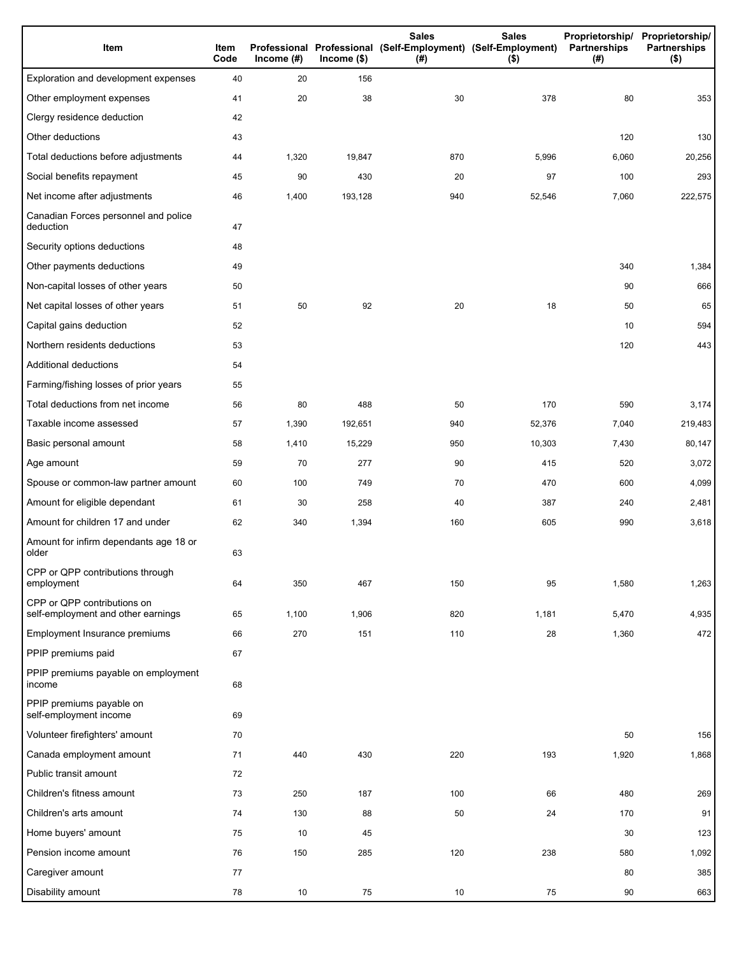| Item                                                              | Item<br>Code | Income $(#)$ | $lncome$ (\$) | <b>Sales</b><br>Professional Professional (Self-Employment) (Self-Employment)<br>(# ) | <b>Sales</b><br>$($ \$) | Proprietorship/<br>Partnerships<br>(#) | Proprietorship/<br>Partnerships<br>$($ \$) |
|-------------------------------------------------------------------|--------------|--------------|---------------|---------------------------------------------------------------------------------------|-------------------------|----------------------------------------|--------------------------------------------|
| Exploration and development expenses                              | 40           | 20           | 156           |                                                                                       |                         |                                        |                                            |
| Other employment expenses                                         | 41           | 20           | 38            | 30                                                                                    | 378                     | 80                                     | 353                                        |
| Clergy residence deduction                                        | 42           |              |               |                                                                                       |                         |                                        |                                            |
| Other deductions                                                  | 43           |              |               |                                                                                       |                         | 120                                    | 130                                        |
| Total deductions before adjustments                               | 44           | 1,320        | 19,847        | 870                                                                                   | 5,996                   | 6,060                                  | 20,256                                     |
| Social benefits repayment                                         | 45           | 90           | 430           | 20                                                                                    | 97                      | 100                                    | 293                                        |
| Net income after adjustments                                      | 46           | 1,400        | 193,128       | 940                                                                                   | 52,546                  | 7,060                                  | 222,575                                    |
| Canadian Forces personnel and police<br>deduction                 | 47           |              |               |                                                                                       |                         |                                        |                                            |
| Security options deductions                                       | 48           |              |               |                                                                                       |                         |                                        |                                            |
| Other payments deductions                                         | 49           |              |               |                                                                                       |                         | 340                                    | 1,384                                      |
| Non-capital losses of other years                                 | 50           |              |               |                                                                                       |                         | 90                                     | 666                                        |
| Net capital losses of other years                                 | 51           | 50           | 92            | 20                                                                                    | 18                      | 50                                     | 65                                         |
| Capital gains deduction                                           | 52           |              |               |                                                                                       |                         | 10                                     | 594                                        |
| Northern residents deductions                                     | 53           |              |               |                                                                                       |                         | 120                                    | 443                                        |
| Additional deductions                                             | 54           |              |               |                                                                                       |                         |                                        |                                            |
| Farming/fishing losses of prior years                             | 55           |              |               |                                                                                       |                         |                                        |                                            |
| Total deductions from net income                                  | 56           | 80           | 488           | 50                                                                                    | 170                     | 590                                    | 3,174                                      |
| Taxable income assessed                                           | 57           | 1,390        | 192,651       | 940                                                                                   | 52,376                  | 7,040                                  | 219,483                                    |
| Basic personal amount                                             | 58           | 1,410        | 15,229        | 950                                                                                   | 10,303                  | 7,430                                  | 80,147                                     |
| Age amount                                                        | 59           | 70           | 277           | 90                                                                                    | 415                     | 520                                    | 3,072                                      |
| Spouse or common-law partner amount                               | 60           | 100          | 749           | 70                                                                                    | 470                     | 600                                    | 4,099                                      |
| Amount for eligible dependant                                     | 61           | 30           | 258           | 40                                                                                    | 387                     | 240                                    | 2,481                                      |
| Amount for children 17 and under                                  | 62           | 340          | 1,394         | 160                                                                                   | 605                     | 990                                    | 3,618                                      |
| Amount for infirm dependants age 18 or<br>older                   | 63           |              |               |                                                                                       |                         |                                        |                                            |
| CPP or QPP contributions through<br>employment                    | 64           | 350          | 467           | 150                                                                                   | 95                      | 1,580                                  | 1,263                                      |
| CPP or QPP contributions on<br>self-employment and other earnings | 65           | 1,100        | 1,906         | 820                                                                                   | 1,181                   | 5,470                                  | 4,935                                      |
| Employment Insurance premiums                                     | 66           | 270          | 151           | 110                                                                                   | 28                      | 1,360                                  | 472                                        |
| PPIP premiums paid                                                | 67           |              |               |                                                                                       |                         |                                        |                                            |
| PPIP premiums payable on employment<br>income                     | 68           |              |               |                                                                                       |                         |                                        |                                            |
| PPIP premiums payable on<br>self-employment income                | 69           |              |               |                                                                                       |                         |                                        |                                            |
| Volunteer firefighters' amount                                    | 70           |              |               |                                                                                       |                         | 50                                     | 156                                        |
| Canada employment amount                                          | 71           | 440          | 430           | 220                                                                                   | 193                     | 1,920                                  | 1,868                                      |
| Public transit amount                                             | 72           |              |               |                                                                                       |                         |                                        |                                            |
| Children's fitness amount                                         | 73           | 250          | 187           | 100                                                                                   | 66                      | 480                                    | 269                                        |
| Children's arts amount                                            | 74           | 130          | 88            | 50                                                                                    | 24                      | 170                                    | 91                                         |
| Home buyers' amount                                               | 75           | 10           | 45            |                                                                                       |                         | 30                                     | 123                                        |
| Pension income amount                                             | 76           | 150          | 285           | 120                                                                                   | 238                     | 580                                    | 1,092                                      |
| Caregiver amount                                                  | 77           |              |               |                                                                                       |                         | 80                                     | 385                                        |
| Disability amount                                                 | 78           | 10           | 75            | 10                                                                                    | 75                      | 90                                     | 663                                        |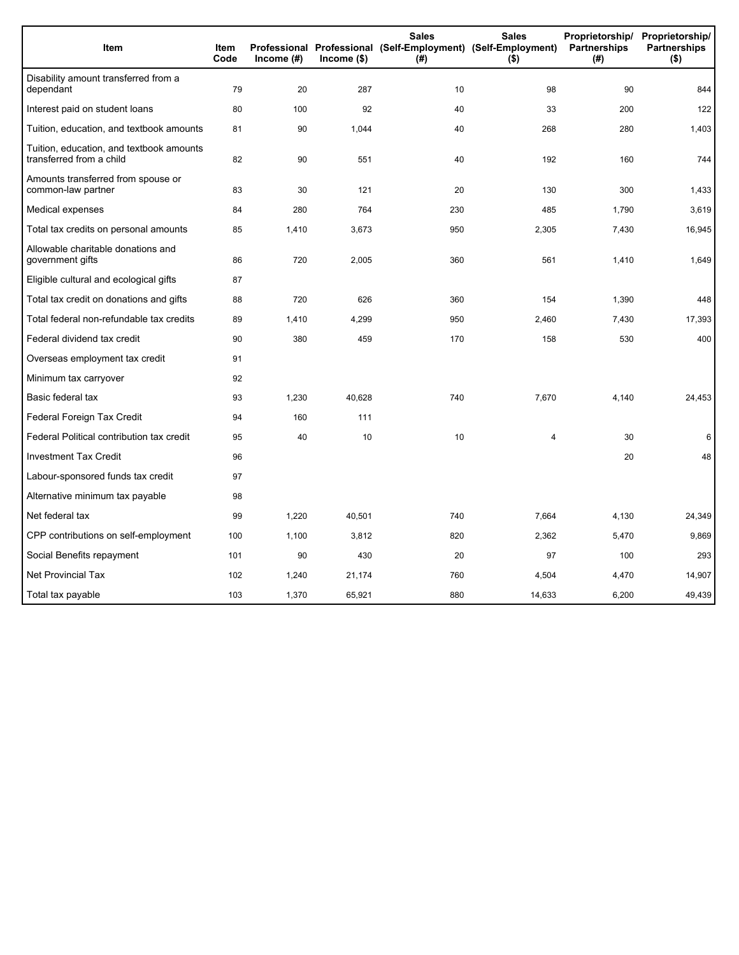| Item                                                                 | <b>Item</b><br>Code | Income $(\#)$ | $Income$ (\$) | <b>Sales</b><br>Professional Professional (Self-Employment) (Self-Employment)<br>(# ) | <b>Sales</b><br>$($ \$) | Proprietorship/<br>Partnerships<br>(#) | Proprietorship/<br><b>Partnerships</b><br>$($ \$) |
|----------------------------------------------------------------------|---------------------|---------------|---------------|---------------------------------------------------------------------------------------|-------------------------|----------------------------------------|---------------------------------------------------|
| Disability amount transferred from a<br>dependant                    | 79                  | 20            | 287           | 10                                                                                    | 98                      | 90                                     | 844                                               |
| Interest paid on student loans                                       | 80                  | 100           | 92            | 40                                                                                    | 33                      | 200                                    | 122                                               |
| Tuition, education, and textbook amounts                             | 81                  | 90            | 1,044         | 40                                                                                    | 268                     | 280                                    | 1,403                                             |
| Tuition, education, and textbook amounts<br>transferred from a child | 82                  | 90            | 551           | 40                                                                                    | 192                     | 160                                    | 744                                               |
| Amounts transferred from spouse or<br>common-law partner             | 83                  | 30            | 121           | 20                                                                                    | 130                     | 300                                    | 1,433                                             |
| Medical expenses                                                     | 84                  | 280           | 764           | 230                                                                                   | 485                     | 1,790                                  | 3,619                                             |
| Total tax credits on personal amounts                                | 85                  | 1,410         | 3,673         | 950                                                                                   | 2,305                   | 7,430                                  | 16,945                                            |
| Allowable charitable donations and<br>government gifts               | 86                  | 720           | 2,005         | 360                                                                                   | 561                     | 1,410                                  | 1,649                                             |
| Eligible cultural and ecological gifts                               | 87                  |               |               |                                                                                       |                         |                                        |                                                   |
| Total tax credit on donations and gifts                              | 88                  | 720           | 626           | 360                                                                                   | 154                     | 1,390                                  | 448                                               |
| Total federal non-refundable tax credits                             | 89                  | 1,410         | 4,299         | 950                                                                                   | 2,460                   | 7,430                                  | 17,393                                            |
| Federal dividend tax credit                                          | 90                  | 380           | 459           | 170                                                                                   | 158                     | 530                                    | 400                                               |
| Overseas employment tax credit                                       | 91                  |               |               |                                                                                       |                         |                                        |                                                   |
| Minimum tax carryover                                                | 92                  |               |               |                                                                                       |                         |                                        |                                                   |
| Basic federal tax                                                    | 93                  | 1,230         | 40,628        | 740                                                                                   | 7,670                   | 4,140                                  | 24,453                                            |
| Federal Foreign Tax Credit                                           | 94                  | 160           | 111           |                                                                                       |                         |                                        |                                                   |
| Federal Political contribution tax credit                            | 95                  | 40            | 10            | 10                                                                                    | 4                       | 30                                     | 6                                                 |
| <b>Investment Tax Credit</b>                                         | 96                  |               |               |                                                                                       |                         | 20                                     | 48                                                |
| Labour-sponsored funds tax credit                                    | 97                  |               |               |                                                                                       |                         |                                        |                                                   |
| Alternative minimum tax payable                                      | 98                  |               |               |                                                                                       |                         |                                        |                                                   |
| Net federal tax                                                      | 99                  | 1,220         | 40,501        | 740                                                                                   | 7,664                   | 4,130                                  | 24,349                                            |
| CPP contributions on self-employment                                 | 100                 | 1,100         | 3,812         | 820                                                                                   | 2,362                   | 5,470                                  | 9,869                                             |
| Social Benefits repayment                                            | 101                 | 90            | 430           | 20                                                                                    | 97                      | 100                                    | 293                                               |
| <b>Net Provincial Tax</b>                                            | 102                 | 1,240         | 21,174        | 760                                                                                   | 4,504                   | 4,470                                  | 14,907                                            |
| Total tax payable                                                    | 103                 | 1,370         | 65,921        | 880                                                                                   | 14,633                  | 6,200                                  | 49,439                                            |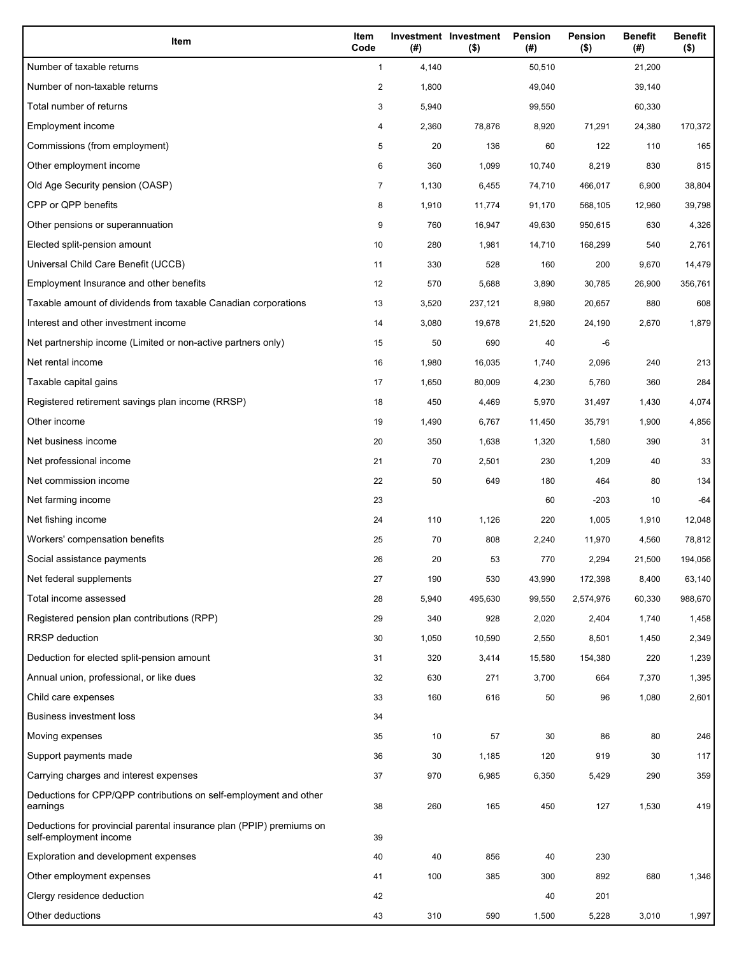| Item                                                                                           | Item<br>Code   | (# )  | Investment Investment<br>$($ \$) | Pension<br>(#) | Pension<br>$($ \$) | <b>Benefit</b><br>(#) | <b>Benefit</b><br>$($ \$) |
|------------------------------------------------------------------------------------------------|----------------|-------|----------------------------------|----------------|--------------------|-----------------------|---------------------------|
| Number of taxable returns                                                                      | $\mathbf{1}$   | 4,140 |                                  | 50,510         |                    | 21,200                |                           |
| Number of non-taxable returns                                                                  | $\overline{2}$ | 1,800 |                                  | 49,040         |                    | 39,140                |                           |
| Total number of returns                                                                        | 3              | 5,940 |                                  | 99,550         |                    | 60,330                |                           |
| Employment income                                                                              | 4              | 2,360 | 78,876                           | 8,920          | 71,291             | 24,380                | 170,372                   |
| Commissions (from employment)                                                                  | 5              | 20    | 136                              | 60             | 122                | 110                   | 165                       |
| Other employment income                                                                        | 6              | 360   | 1,099                            | 10,740         | 8,219              | 830                   | 815                       |
| Old Age Security pension (OASP)                                                                | 7              | 1,130 | 6,455                            | 74,710         | 466,017            | 6,900                 | 38,804                    |
| CPP or QPP benefits                                                                            | 8              | 1,910 | 11,774                           | 91,170         | 568,105            | 12,960                | 39,798                    |
| Other pensions or superannuation                                                               | 9              | 760   | 16,947                           | 49,630         | 950,615            | 630                   | 4,326                     |
| Elected split-pension amount                                                                   | 10             | 280   | 1,981                            | 14,710         | 168,299            | 540                   | 2,761                     |
| Universal Child Care Benefit (UCCB)                                                            | 11             | 330   | 528                              | 160            | 200                | 9,670                 | 14,479                    |
| Employment Insurance and other benefits                                                        | 12             | 570   | 5,688                            | 3,890          | 30,785             | 26,900                | 356,761                   |
| Taxable amount of dividends from taxable Canadian corporations                                 | 13             | 3,520 | 237,121                          | 8,980          | 20,657             | 880                   | 608                       |
| Interest and other investment income                                                           | 14             | 3,080 | 19,678                           | 21,520         | 24,190             | 2,670                 | 1,879                     |
| Net partnership income (Limited or non-active partners only)                                   | 15             | 50    | 690                              | 40             | -6                 |                       |                           |
| Net rental income                                                                              | 16             | 1,980 | 16,035                           | 1,740          | 2,096              | 240                   | 213                       |
| Taxable capital gains                                                                          | 17             | 1,650 | 80,009                           | 4,230          | 5,760              | 360                   | 284                       |
| Registered retirement savings plan income (RRSP)                                               | 18             | 450   | 4,469                            | 5,970          | 31,497             | 1,430                 | 4,074                     |
| Other income                                                                                   | 19             | 1,490 | 6,767                            | 11,450         | 35,791             | 1,900                 | 4,856                     |
| Net business income                                                                            | 20             | 350   | 1,638                            | 1,320          | 1,580              | 390                   | 31                        |
| Net professional income                                                                        | 21             | 70    | 2,501                            | 230            | 1,209              | 40                    | 33                        |
| Net commission income                                                                          | 22             | 50    | 649                              | 180            | 464                | 80                    | 134                       |
| Net farming income                                                                             | 23             |       |                                  | 60             | $-203$             | 10                    | $-64$                     |
| Net fishing income                                                                             | 24             | 110   | 1,126                            | 220            | 1,005              | 1,910                 | 12,048                    |
| Workers' compensation benefits                                                                 | 25             | 70    | 808                              | 2,240          | 11,970             | 4,560                 | 78,812                    |
| Social assistance payments                                                                     | 26             | 20    | 53                               | 770            | 2,294              | 21,500                | 194,056                   |
| Net federal supplements                                                                        | 27             | 190   | 530                              | 43,990         | 172,398            | 8,400                 | 63,140                    |
| Total income assessed                                                                          | 28             | 5,940 | 495,630                          | 99,550         | 2,574,976          | 60,330                | 988,670                   |
| Registered pension plan contributions (RPP)                                                    | 29             | 340   | 928                              | 2,020          | 2,404              | 1,740                 | 1,458                     |
| <b>RRSP</b> deduction                                                                          | 30             | 1,050 | 10,590                           | 2,550          | 8,501              | 1,450                 | 2,349                     |
| Deduction for elected split-pension amount                                                     | 31             | 320   | 3,414                            | 15,580         | 154,380            | 220                   | 1,239                     |
| Annual union, professional, or like dues                                                       | 32             | 630   | 271                              | 3,700          | 664                | 7,370                 | 1,395                     |
| Child care expenses                                                                            | 33             | 160   | 616                              | 50             | 96                 | 1,080                 | 2,601                     |
| <b>Business investment loss</b>                                                                | 34             |       |                                  |                |                    |                       |                           |
| Moving expenses                                                                                | 35             | 10    | 57                               | 30             | 86                 | 80                    | 246                       |
| Support payments made                                                                          | 36             | 30    | 1,185                            | 120            | 919                | 30                    | 117                       |
| Carrying charges and interest expenses                                                         | 37             | 970   | 6,985                            | 6,350          | 5,429              | 290                   | 359                       |
| Deductions for CPP/QPP contributions on self-employment and other<br>earnings                  | 38             | 260   | 165                              | 450            | 127                | 1,530                 | 419                       |
| Deductions for provincial parental insurance plan (PPIP) premiums on<br>self-employment income | 39             |       |                                  |                |                    |                       |                           |
| Exploration and development expenses                                                           | 40             | 40    | 856                              | 40             | 230                |                       |                           |
| Other employment expenses                                                                      | 41             | 100   | 385                              | 300            | 892                | 680                   | 1,346                     |
| Clergy residence deduction                                                                     | 42             |       |                                  | 40             | 201                |                       |                           |
| Other deductions                                                                               | 43             | 310   | 590                              | 1,500          | 5,228              | 3,010                 | 1,997                     |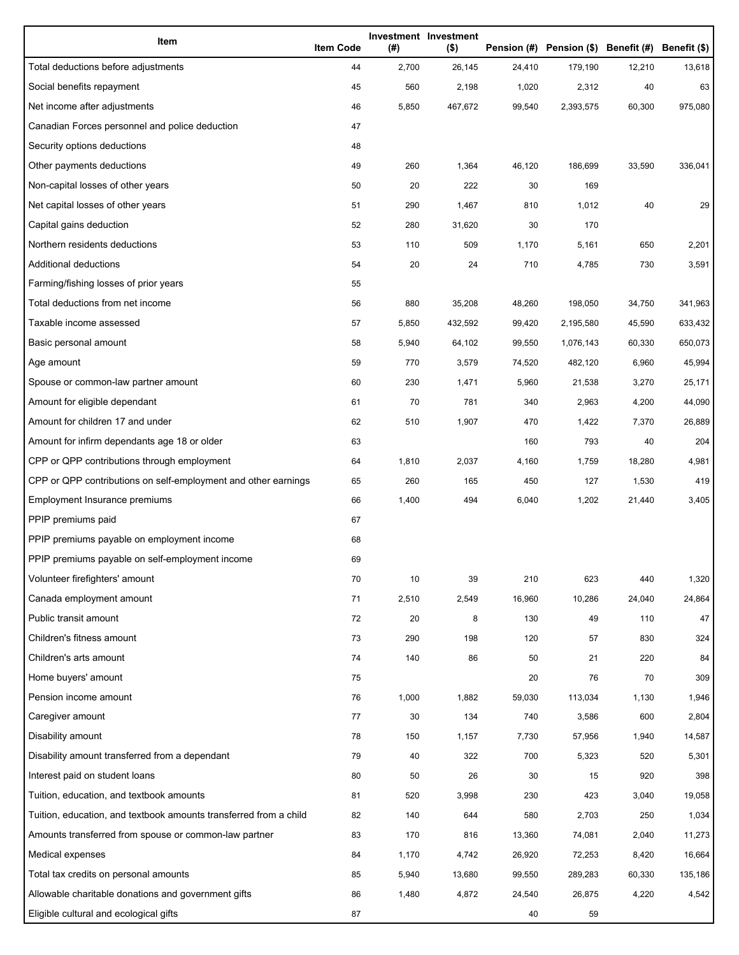| Item                                                              | <b>Item Code</b> | (#)   | Investment Investment<br>$($ \$) |        | Pension (#) Pension (\$) Benefit (#) Benefit (\$) |        |         |
|-------------------------------------------------------------------|------------------|-------|----------------------------------|--------|---------------------------------------------------|--------|---------|
| Total deductions before adjustments                               | 44               | 2,700 | 26,145                           | 24,410 | 179,190                                           | 12,210 | 13,618  |
| Social benefits repayment                                         | 45               | 560   | 2,198                            | 1,020  | 2,312                                             | 40     | 63      |
| Net income after adjustments                                      | 46               | 5,850 | 467,672                          | 99,540 | 2,393,575                                         | 60,300 | 975,080 |
| Canadian Forces personnel and police deduction                    | 47               |       |                                  |        |                                                   |        |         |
| Security options deductions                                       | 48               |       |                                  |        |                                                   |        |         |
| Other payments deductions                                         | 49               | 260   | 1,364                            | 46,120 | 186,699                                           | 33,590 | 336,041 |
| Non-capital losses of other years                                 | 50               | 20    | 222                              | 30     | 169                                               |        |         |
| Net capital losses of other years                                 | 51               | 290   | 1,467                            | 810    | 1,012                                             | 40     | 29      |
| Capital gains deduction                                           | 52               | 280   | 31,620                           | 30     | 170                                               |        |         |
| Northern residents deductions                                     | 53               | 110   | 509                              | 1,170  | 5,161                                             | 650    | 2,201   |
| Additional deductions                                             | 54               | 20    | 24                               | 710    | 4,785                                             | 730    | 3,591   |
| Farming/fishing losses of prior years                             | 55               |       |                                  |        |                                                   |        |         |
| Total deductions from net income                                  | 56               | 880   | 35,208                           | 48,260 | 198,050                                           | 34,750 | 341,963 |
| Taxable income assessed                                           | 57               | 5,850 | 432,592                          | 99,420 | 2,195,580                                         | 45,590 | 633,432 |
| Basic personal amount                                             | 58               | 5,940 | 64,102                           | 99,550 | 1,076,143                                         | 60,330 | 650,073 |
| Age amount                                                        | 59               | 770   | 3,579                            | 74,520 | 482,120                                           | 6,960  | 45,994  |
| Spouse or common-law partner amount                               | 60               | 230   | 1,471                            | 5,960  | 21,538                                            | 3,270  | 25,171  |
| Amount for eligible dependant                                     | 61               | 70    | 781                              | 340    | 2,963                                             | 4,200  | 44,090  |
| Amount for children 17 and under                                  | 62               | 510   | 1,907                            | 470    | 1,422                                             | 7,370  | 26,889  |
| Amount for infirm dependants age 18 or older                      | 63               |       |                                  | 160    | 793                                               | 40     | 204     |
| CPP or QPP contributions through employment                       | 64               | 1,810 | 2,037                            | 4,160  | 1,759                                             | 18,280 | 4,981   |
| CPP or QPP contributions on self-employment and other earnings    | 65               | 260   | 165                              | 450    | 127                                               | 1,530  | 419     |
| Employment Insurance premiums                                     | 66               | 1,400 | 494                              | 6,040  | 1,202                                             | 21,440 | 3,405   |
| PPIP premiums paid                                                | 67               |       |                                  |        |                                                   |        |         |
| PPIP premiums payable on employment income                        | 68               |       |                                  |        |                                                   |        |         |
| PPIP premiums payable on self-employment income                   | 69               |       |                                  |        |                                                   |        |         |
| Volunteer firefighters' amount                                    | 70               | 10    | 39                               | 210    | 623                                               | 440    | 1,320   |
| Canada employment amount                                          | 71               | 2,510 | 2,549                            | 16,960 | 10,286                                            | 24,040 | 24,864  |
| Public transit amount                                             | 72               | 20    | 8                                | 130    | 49                                                | 110    | 47      |
| Children's fitness amount                                         | 73               | 290   | 198                              | 120    | 57                                                | 830    | 324     |
| Children's arts amount                                            | 74               | 140   | 86                               | 50     | 21                                                | 220    | 84      |
| Home buyers' amount                                               | 75               |       |                                  | 20     | 76                                                | 70     | 309     |
| Pension income amount                                             | 76               | 1,000 | 1,882                            | 59,030 | 113,034                                           | 1,130  | 1,946   |
| Caregiver amount                                                  | 77               | 30    | 134                              | 740    | 3,586                                             | 600    | 2,804   |
| Disability amount                                                 | 78               | 150   | 1,157                            | 7,730  | 57,956                                            | 1,940  | 14,587  |
| Disability amount transferred from a dependant                    | 79               | 40    | 322                              | 700    | 5,323                                             | 520    | 5,301   |
| Interest paid on student loans                                    | 80               | 50    | 26                               | 30     | 15                                                | 920    | 398     |
| Tuition, education, and textbook amounts                          | 81               | 520   | 3,998                            | 230    | 423                                               | 3,040  | 19,058  |
| Tuition, education, and textbook amounts transferred from a child | 82               | 140   | 644                              | 580    | 2,703                                             | 250    | 1,034   |
| Amounts transferred from spouse or common-law partner             | 83               | 170   | 816                              | 13,360 | 74,081                                            | 2,040  | 11,273  |
| Medical expenses                                                  | 84               | 1,170 | 4,742                            | 26,920 | 72,253                                            | 8,420  | 16,664  |
| Total tax credits on personal amounts                             | 85               | 5,940 | 13,680                           | 99,550 | 289,283                                           | 60,330 | 135,186 |
| Allowable charitable donations and government gifts               | 86               | 1,480 | 4,872                            | 24,540 | 26,875                                            | 4,220  | 4,542   |
| Eligible cultural and ecological gifts                            | 87               |       |                                  | 40     | 59                                                |        |         |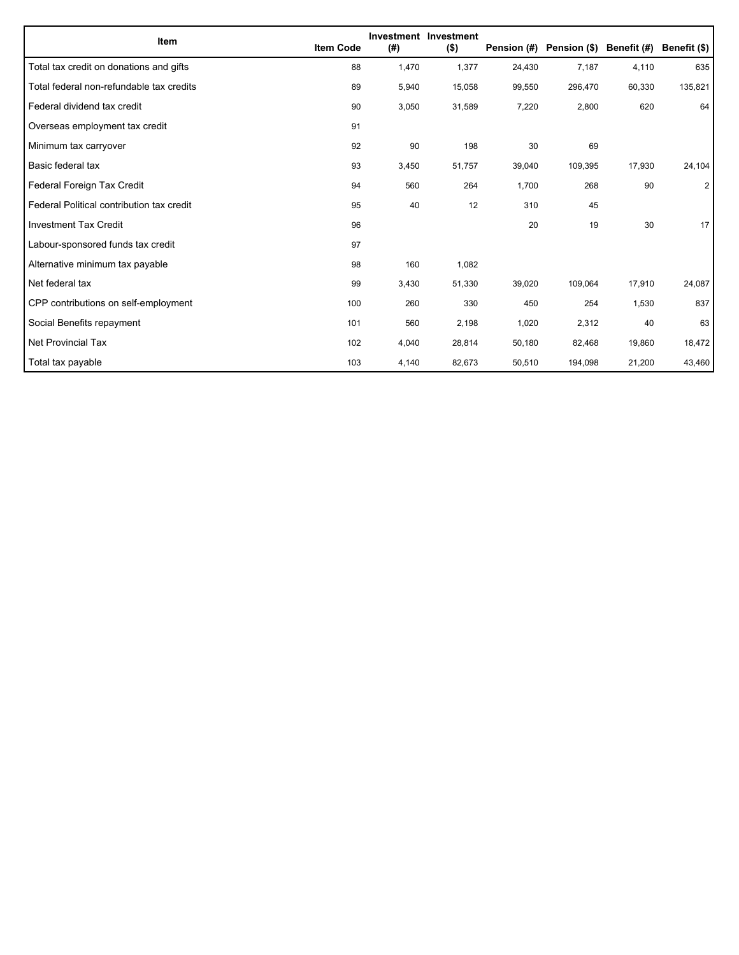| Item                                      | <b>Item Code</b> | (#)   | Investment Investment<br>$($ \$) | Pension (#) | Pension (\$) | Benefit (#) | Benefit (\$)   |
|-------------------------------------------|------------------|-------|----------------------------------|-------------|--------------|-------------|----------------|
| Total tax credit on donations and gifts   | 88               | 1,470 | 1,377                            | 24,430      | 7,187        | 4,110       | 635            |
| Total federal non-refundable tax credits  | 89               | 5,940 | 15,058                           | 99,550      | 296,470      | 60,330      | 135,821        |
| Federal dividend tax credit               | 90               | 3,050 | 31,589                           | 7,220       | 2,800        | 620         | 64             |
| Overseas employment tax credit            | 91               |       |                                  |             |              |             |                |
| Minimum tax carryover                     | 92               | 90    | 198                              | 30          | 69           |             |                |
| Basic federal tax                         | 93               | 3,450 | 51,757                           | 39,040      | 109,395      | 17,930      | 24,104         |
| Federal Foreign Tax Credit                | 94               | 560   | 264                              | 1,700       | 268          | 90          | $\overline{2}$ |
| Federal Political contribution tax credit | 95               | 40    | 12                               | 310         | 45           |             |                |
| <b>Investment Tax Credit</b>              | 96               |       |                                  | 20          | 19           | 30          | 17             |
| Labour-sponsored funds tax credit         | 97               |       |                                  |             |              |             |                |
| Alternative minimum tax payable           | 98               | 160   | 1,082                            |             |              |             |                |
| Net federal tax                           | 99               | 3,430 | 51,330                           | 39,020      | 109,064      | 17,910      | 24,087         |
| CPP contributions on self-employment      | 100              | 260   | 330                              | 450         | 254          | 1,530       | 837            |
| Social Benefits repayment                 | 101              | 560   | 2,198                            | 1,020       | 2,312        | 40          | 63             |
| Net Provincial Tax                        | 102              | 4,040 | 28,814                           | 50,180      | 82,468       | 19,860      | 18,472         |
| Total tax payable                         | 103              | 4,140 | 82,673                           | 50,510      | 194,098      | 21,200      | 43,460         |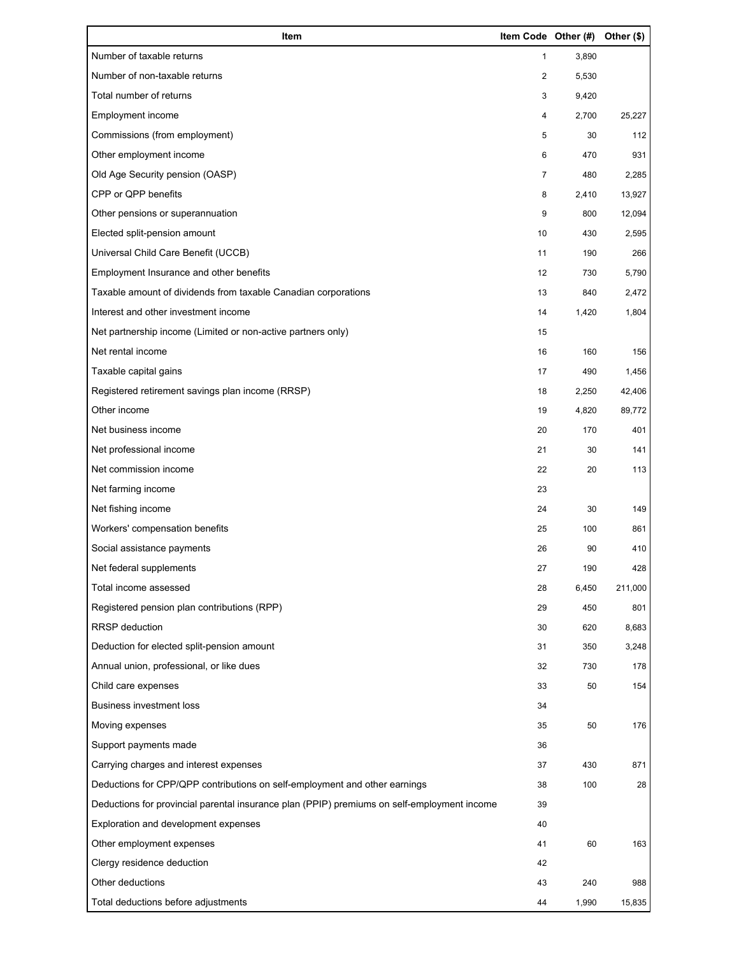| Item                                                                                        | Item Code Other (#) |       | Other (\$) |
|---------------------------------------------------------------------------------------------|---------------------|-------|------------|
| Number of taxable returns                                                                   | $\mathbf{1}$        | 3,890 |            |
| Number of non-taxable returns                                                               | 2                   | 5,530 |            |
| Total number of returns                                                                     | 3                   | 9,420 |            |
| Employment income                                                                           | 4                   | 2,700 | 25,227     |
| Commissions (from employment)                                                               | 5                   | 30    | 112        |
| Other employment income                                                                     | 6                   | 470   | 931        |
| Old Age Security pension (OASP)                                                             | $\overline{7}$      | 480   | 2,285      |
| CPP or QPP benefits                                                                         | 8                   | 2,410 | 13,927     |
| Other pensions or superannuation                                                            | 9                   | 800   | 12,094     |
| Elected split-pension amount                                                                | 10                  | 430   | 2,595      |
| Universal Child Care Benefit (UCCB)                                                         | 11                  | 190   | 266        |
| Employment Insurance and other benefits                                                     | 12                  | 730   | 5,790      |
| Taxable amount of dividends from taxable Canadian corporations                              | 13                  | 840   | 2,472      |
| Interest and other investment income                                                        | 14                  | 1,420 | 1,804      |
| Net partnership income (Limited or non-active partners only)                                | 15                  |       |            |
| Net rental income                                                                           | 16                  | 160   | 156        |
| Taxable capital gains                                                                       | 17                  | 490   | 1,456      |
| Registered retirement savings plan income (RRSP)                                            | 18                  | 2,250 | 42,406     |
| Other income                                                                                | 19                  | 4,820 | 89,772     |
| Net business income                                                                         | 20                  | 170   | 401        |
| Net professional income                                                                     | 21                  | 30    | 141        |
| Net commission income                                                                       | 22                  | 20    | 113        |
| Net farming income                                                                          | 23                  |       |            |
| Net fishing income                                                                          | 24                  | 30    | 149        |
| Workers' compensation benefits                                                              | 25                  | 100   | 861        |
| Social assistance payments                                                                  | 26                  | 90    | 410        |
| Net federal supplements                                                                     | 27                  | 190   | 428        |
| Total income assessed                                                                       | 28                  | 6,450 | 211,000    |
| Registered pension plan contributions (RPP)                                                 | 29                  | 450   | 801        |
| RRSP deduction                                                                              | 30                  | 620   | 8,683      |
| Deduction for elected split-pension amount                                                  | 31                  | 350   | 3,248      |
| Annual union, professional, or like dues                                                    | 32                  | 730   | 178        |
| Child care expenses                                                                         | 33                  | 50    | 154        |
| <b>Business investment loss</b>                                                             | 34                  |       |            |
| Moving expenses                                                                             | 35                  | 50    | 176        |
| Support payments made                                                                       | 36                  |       |            |
| Carrying charges and interest expenses                                                      | 37                  | 430   | 871        |
| Deductions for CPP/QPP contributions on self-employment and other earnings                  | 38                  | 100   | 28         |
| Deductions for provincial parental insurance plan (PPIP) premiums on self-employment income | 39                  |       |            |
| Exploration and development expenses                                                        | 40                  |       |            |
| Other employment expenses                                                                   | 41                  | 60    | 163        |
| Clergy residence deduction                                                                  | 42                  |       |            |
| Other deductions                                                                            | 43                  | 240   | 988        |
| Total deductions before adjustments                                                         | 44                  | 1,990 | 15,835     |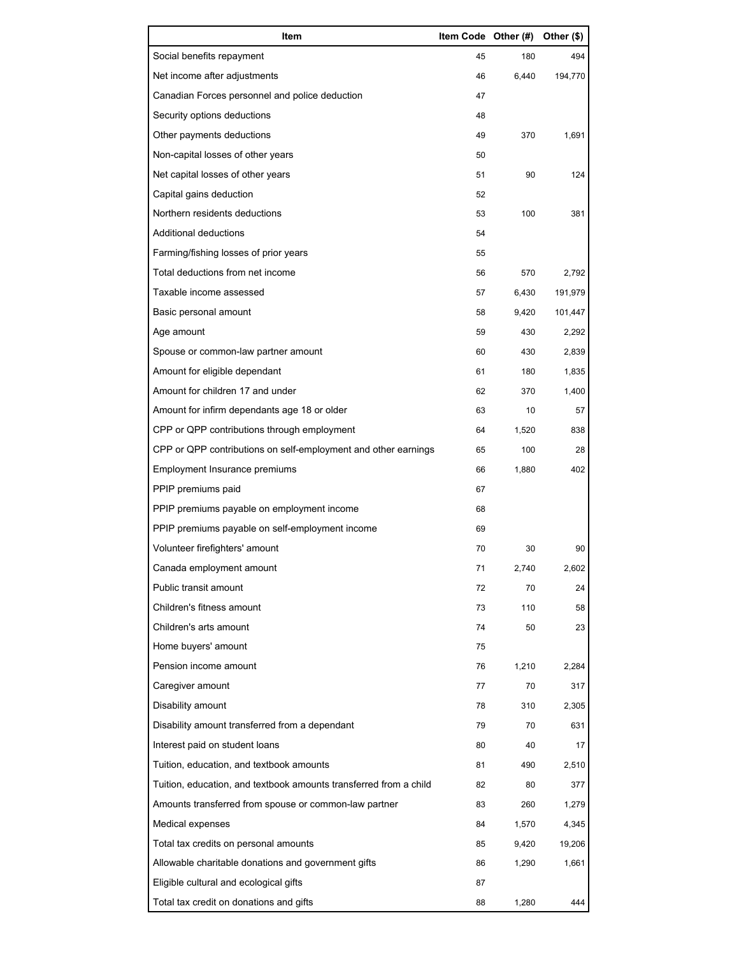| Item                                                              | Item Code Other (#) |       | Other (\$) |
|-------------------------------------------------------------------|---------------------|-------|------------|
| Social benefits repayment                                         | 45                  | 180   | 494        |
| Net income after adjustments                                      | 46                  | 6,440 | 194,770    |
| Canadian Forces personnel and police deduction                    | 47                  |       |            |
| Security options deductions                                       | 48                  |       |            |
| Other payments deductions                                         | 49                  | 370   | 1,691      |
| Non-capital losses of other years                                 | 50                  |       |            |
| Net capital losses of other years                                 | 51                  | 90    | 124        |
| Capital gains deduction                                           | 52                  |       |            |
| Northern residents deductions                                     | 53                  | 100   | 381        |
| Additional deductions                                             | 54                  |       |            |
| Farming/fishing losses of prior years                             | 55                  |       |            |
| Total deductions from net income                                  | 56                  | 570   | 2,792      |
| Taxable income assessed                                           | 57                  | 6,430 | 191,979    |
| Basic personal amount                                             | 58                  | 9,420 | 101,447    |
| Age amount                                                        | 59                  | 430   | 2,292      |
| Spouse or common-law partner amount                               | 60                  | 430   | 2,839      |
| Amount for eligible dependant                                     | 61                  | 180   | 1,835      |
| Amount for children 17 and under                                  | 62                  | 370   | 1,400      |
| Amount for infirm dependants age 18 or older                      | 63                  | 10    | 57         |
| CPP or QPP contributions through employment                       | 64                  | 1,520 | 838        |
| CPP or QPP contributions on self-employment and other earnings    | 65                  | 100   | 28         |
| Employment Insurance premiums                                     | 66                  | 1,880 | 402        |
| PPIP premiums paid                                                | 67                  |       |            |
| PPIP premiums payable on employment income                        | 68                  |       |            |
| PPIP premiums payable on self-employment income                   | 69                  |       |            |
| Volunteer firefighters' amount                                    | 70                  | 30    | 90         |
| Canada employment amount                                          | 71                  | 2,740 | 2,602      |
| Public transit amount                                             | 72                  | 70    | 24         |
| Children's fitness amount                                         | 73                  | 110   | 58         |
| Children's arts amount                                            | 74                  | 50    | 23         |
| Home buyers' amount                                               | 75                  |       |            |
| Pension income amount                                             | 76                  | 1,210 | 2,284      |
| Caregiver amount                                                  | 77                  | 70    | 317        |
| Disability amount                                                 | 78                  | 310   | 2,305      |
| Disability amount transferred from a dependant                    | 79                  | 70    | 631        |
| Interest paid on student loans                                    | 80                  | 40    | 17         |
| Tuition, education, and textbook amounts                          | 81                  | 490   | 2,510      |
| Tuition, education, and textbook amounts transferred from a child | 82                  | 80    | 377        |
| Amounts transferred from spouse or common-law partner             | 83                  | 260   | 1,279      |
| Medical expenses                                                  | 84                  | 1,570 | 4,345      |
| Total tax credits on personal amounts                             | 85                  | 9,420 | 19,206     |
| Allowable charitable donations and government gifts               | 86                  | 1,290 | 1,661      |
| Eligible cultural and ecological gifts                            | 87                  |       |            |
| Total tax credit on donations and gifts                           | 88                  | 1,280 | 444        |